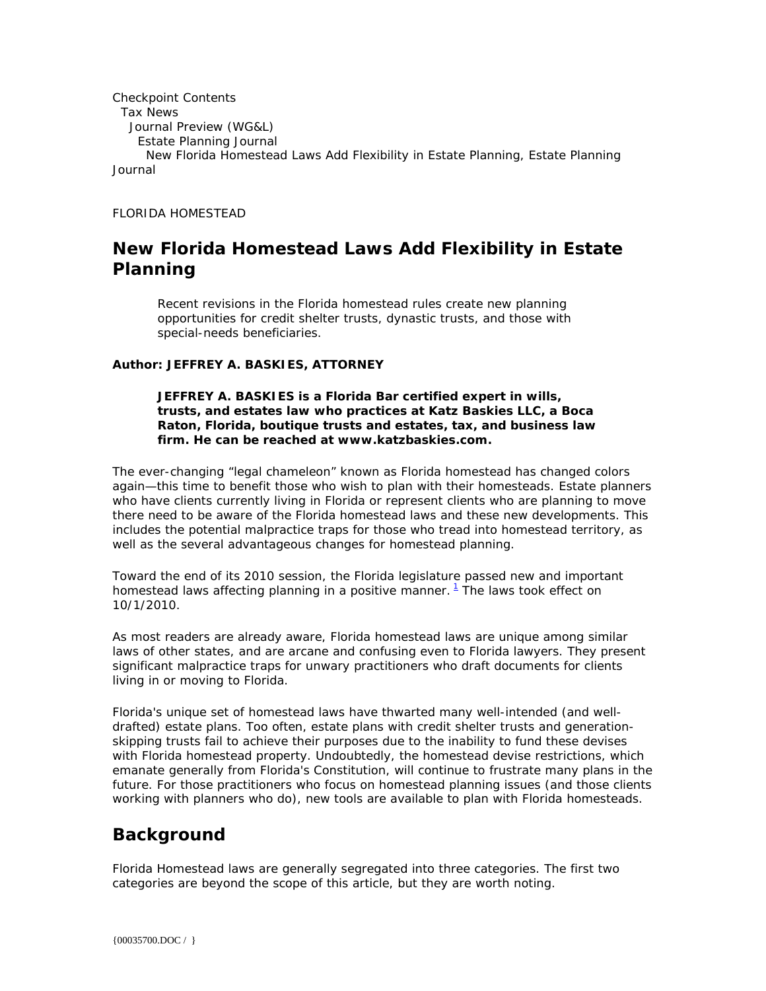```
Checkpoint Contents 
  Tax News 
   Journal Preview (WG&L) 
     Estate Planning Journal 
      New Florida Homestead Laws Add Flexibility in Estate Planning, Estate Planning 
Journal
```
*FLORIDA HOMESTEAD*

# **New Florida Homestead Laws Add Flexibility in Estate Planning**

*Recent revisions in the Florida homestead rules create new planning opportunities for credit shelter trusts, dynastic trusts, and those with special-needs beneficiaries.*

#### *Author: JEFFREY A. BASKIES, ATTORNEY*

#### *JEFFREY A. BASKIES is a Florida Bar certified expert in wills, trusts, and estates law who practices at Katz Baskies LLC, a Boca Raton, Florida, boutique trusts and estates, tax, and business law firm. He can be reached at www.katzbaskies.com.*

The ever-changing "legal chameleon" known as Florida homestead has changed colors again—this time to benefit those who wish to plan with their homesteads. Estate planners who have clients currently living in Florida or represent clients who are planning to move there need to be aware of the Florida homestead laws and these new developments. This includes the potential malpractice traps for those who tread into homestead territory, as well as the several advantageous changes for homestead planning.

Toward the end of its 2010 session, the Florida legislature passed new and important homestead laws affecting planning in a positive manner.  $1$  The laws took effect on 10/1/2010.

As most readers are already aware, Florida homestead laws are unique among similar laws of other states, and are arcane and confusing even to Florida lawyers. They present significant malpractice traps for unwary practitioners who draft documents for clients living in or moving to Florida.

Florida's unique set of homestead laws have thwarted many well-intended (and welldrafted) estate plans. Too often, estate plans with credit shelter trusts and generationskipping trusts fail to achieve their purposes due to the inability to fund these devises with Florida homestead property. Undoubtedly, the homestead devise restrictions, which emanate generally from Florida's Constitution, will continue to frustrate many plans in the future. For those practitioners who focus on homestead planning issues (and those clients working with planners who do), new tools are available to plan with Florida homesteads.

## **Background**

Florida Homestead laws are generally segregated into three categories. The first two categories are beyond the scope of this article, but they are worth noting.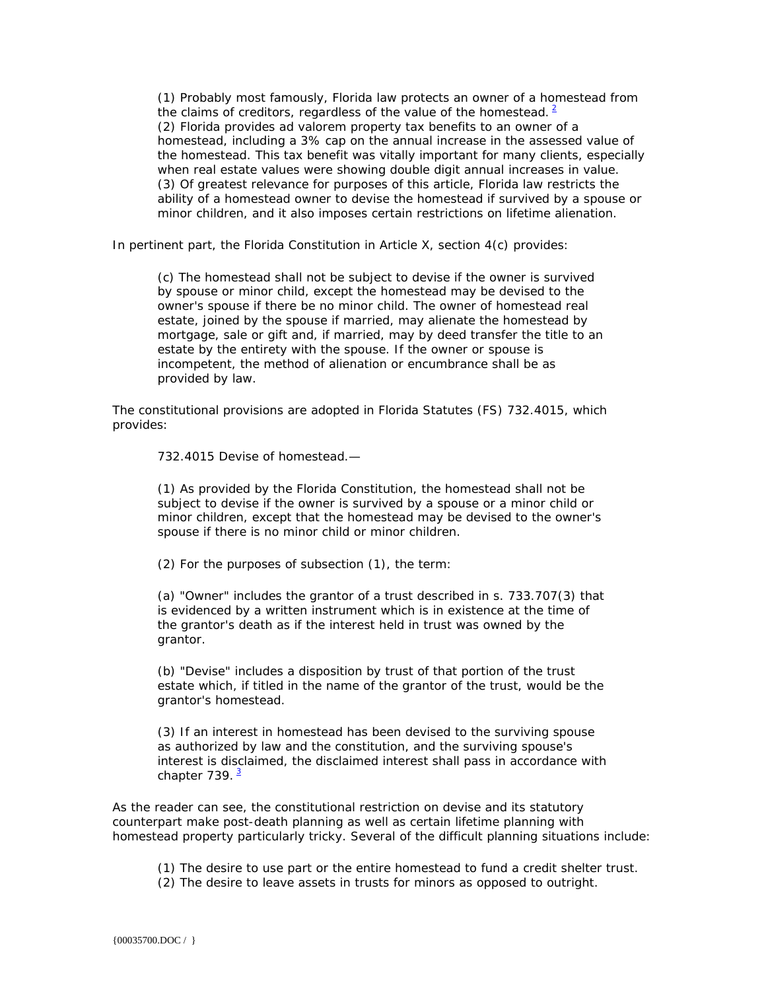(1) Probably most famously, Florida law protects an owner of a homestead from the claims of creditors, regardless of the value of the homestead.  $2^2$ (2) Florida provides ad valorem property tax benefits to an owner of a homestead, including a 3% cap on the annual increase in the assessed value of the homestead. This tax benefit was vitally important for many clients, especially when real estate values were showing double digit annual increases in value. (3) Of greatest relevance for purposes of this article, Florida law restricts the ability of a homestead owner to devise the homestead if survived by a spouse or minor children, and it also imposes certain restrictions on lifetime alienation.

In pertinent part, the Florida Constitution in Article X, section 4(c) provides:

(c) The homestead shall not be subject to devise if the owner is survived by spouse or minor child, except the homestead may be devised to the owner's spouse if there be no minor child. The owner of homestead real estate, joined by the spouse if married, may alienate the homestead by mortgage, sale or gift and, if married, may by deed transfer the title to an estate by the entirety with the spouse. If the owner or spouse is incompetent, the method of alienation or encumbrance shall be as provided by law.

The constitutional provisions are adopted in Florida Statutes (FS) 732.4015, which provides:

732.4015 Devise of homestead.—

(1) As provided by the Florida Constitution, the homestead shall not be subject to devise if the owner is survived by a spouse or a minor child or minor children, except that the homestead may be devised to the owner's spouse if there is no minor child or minor children.

(2) For the purposes of subsection (1), the term:

(a) "Owner" includes the grantor of a trust described in s. 733.707(3) that is evidenced by a written instrument which is in existence at the time of the grantor's death as if the interest held in trust was owned by the grantor.

(b) "Devise" includes a disposition by trust of that portion of the trust estate which, if titled in the name of the grantor of the trust, would be the grantor's homestead.

(3) If an interest in homestead has been devised to the surviving spouse as authorized by law and the constitution, and the surviving spouse's interest is disclaimed, the disclaimed interest shall pass in accordance with chapter  $739.$ <sup>3</sup>

As the reader can see, the constitutional restriction on devise and its statutory counterpart make post-death planning as well as certain lifetime planning with homestead property particularly tricky. Several of the difficult planning situations include:

(1) The desire to use part or the entire homestead to fund a credit shelter trust.

(2) The desire to leave assets in trusts for minors as opposed to outright.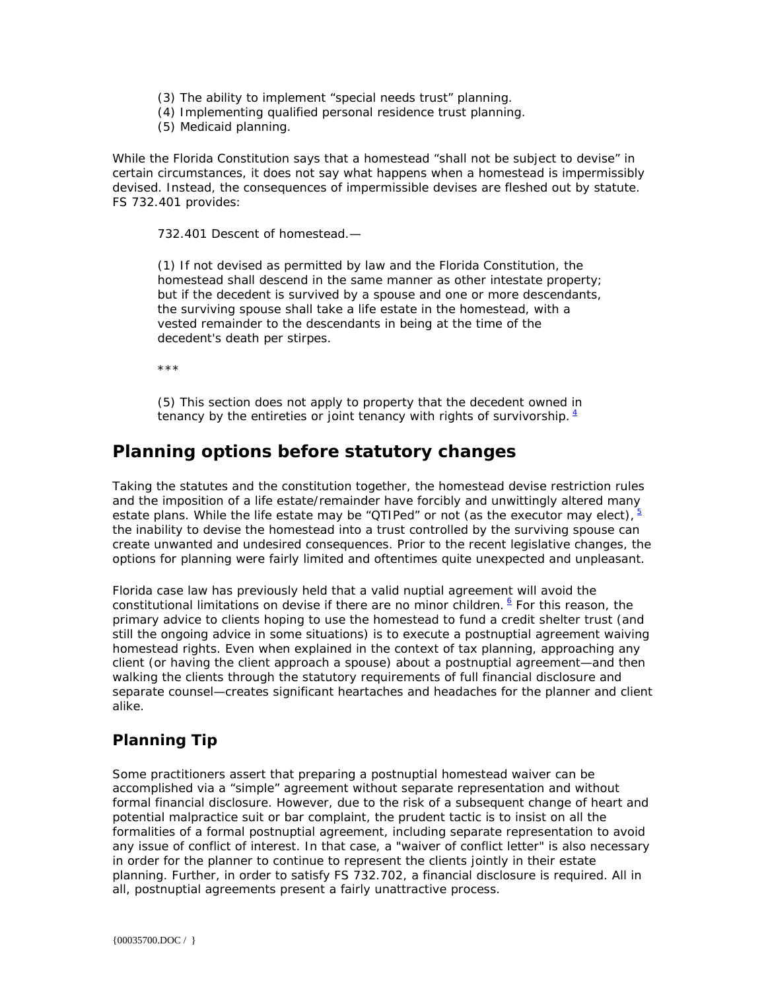- (3) The ability to implement "special needs trust" planning.
- (4) Implementing qualified personal residence trust planning.
- (5) Medicaid planning.

While the Florida Constitution says that a homestead "shall not be subject to devise" in certain circumstances, it does not say what happens when a homestead is impermissibly devised. Instead, the consequences of impermissible devises are fleshed out by statute. FS 732.401 provides:

732.401 Descent of homestead.—

(1) If not devised as permitted by law and the Florida Constitution, the homestead shall descend in the same manner as other intestate property; but if the decedent is survived by a spouse and one or more descendants, the surviving spouse shall take a life estate in the homestead, with a vested remainder to the descendants in being at the time of the decedent's death per stirpes.

\*\*\*

(5) This section does not apply to property that the decedent owned in tenancy by the entireties or joint tenancy with rights of survivorship.  $4\overline{ }$ 

## **Planning options before statutory changes**

Taking the statutes and the constitution together, the homestead devise restriction rules and the imposition of a life estate/remainder have forcibly and unwittingly altered many estate plans. While the life estate may be "QTIPed" or not (as the executor may elect),  $\frac{5}{3}$ the inability to devise the homestead into a trust controlled by the surviving spouse can create unwanted and undesired consequences. Prior to the recent legislative changes, the options for planning were fairly limited and oftentimes quite unexpected and unpleasant.

Florida case law has previously held that a valid nuptial agreement will avoid the constitutional limitations on devise if there are no minor children. **6** For this reason, the primary advice to clients hoping to use the homestead to fund a credit shelter trust (and still the ongoing advice in some situations) is to execute a postnuptial agreement waiving homestead rights. Even when explained in the context of tax planning, approaching any client (or having the client approach a spouse) about a postnuptial agreement—and then walking the clients through the statutory requirements of full financial disclosure and separate counsel—creates significant heartaches and headaches for the planner and client alike.

#### **Planning Tip**

Some practitioners assert that preparing a postnuptial homestead waiver can be accomplished via a "simple" agreement without separate representation and without formal financial disclosure. However, due to the risk of a subsequent change of heart and potential malpractice suit or bar complaint, the prudent tactic is to insist on all the formalities of a formal postnuptial agreement, including separate representation to avoid any issue of conflict of interest. In that case, a "waiver of conflict letter" is also necessary in order for the planner to continue to represent the clients jointly in their estate planning. Further, in order to satisfy FS 732.702, a financial disclosure is required. All in all, postnuptial agreements present a fairly unattractive process.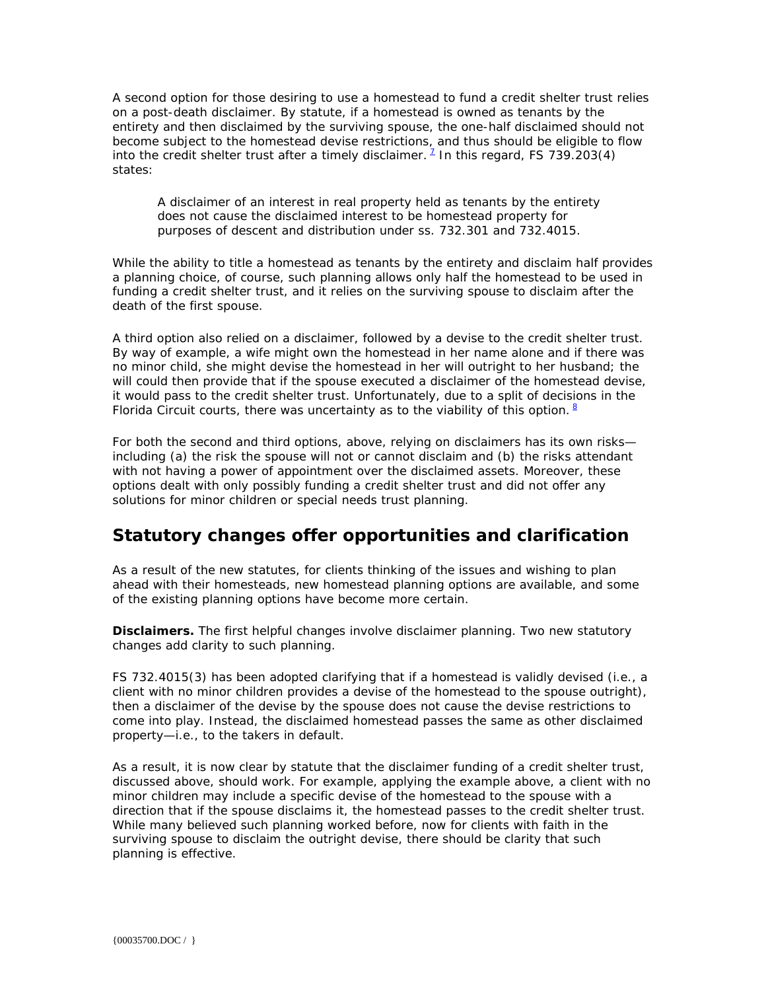A second option for those desiring to use a homestead to fund a credit shelter trust relies on a post-death disclaimer. By statute, if a homestead is owned as tenants by the entirety and then disclaimed by the surviving spouse, the one-half disclaimed should not become subject to the homestead devise restrictions, and thus should be eligible to flow into the credit shelter trust after a timely disclaimer.  $^1$  In this regard, FS 739.203(4) states:

A disclaimer of an interest in real property held as tenants by the entirety does not cause the disclaimed interest to be homestead property for purposes of descent and distribution under ss. 732.301 and 732.4015.

While the ability to title a homestead as tenants by the entirety and disclaim half provides a planning choice, of course, such planning allows only half the homestead to be used in funding a credit shelter trust, and it relies on the surviving spouse to disclaim after the death of the first spouse.

A third option also relied on a disclaimer, followed by a devise to the credit shelter trust. By way of example, a wife might own the homestead in her name alone and if there was no minor child, she might devise the homestead in her will outright to her husband; the will could then provide that if the spouse executed a disclaimer of the homestead devise, it would pass to the credit shelter trust. Unfortunately, due to a split of decisions in the Florida Circuit courts, there was uncertainty as to the viability of this option.  $8$ 

For both the second and third options, above, relying on disclaimers has its own risks including (a) the risk the spouse will not or cannot disclaim and (b) the risks attendant with not having a power of appointment over the disclaimed assets. Moreover, these options dealt with only possibly funding a credit shelter trust and did not offer any solutions for minor children or special needs trust planning.

## **Statutory changes offer opportunities and clarification**

As a result of the new statutes, for clients thinking of the issues and wishing to plan ahead with their homesteads, new homestead planning options are available, and some of the existing planning options have become more certain.

**Disclaimers.** The first helpful changes involve disclaimer planning. Two new statutory changes add clarity to such planning.

FS 732.4015(3) has been adopted clarifying that if a homestead is validly devised (i.e., a client with no minor children provides a devise of the homestead to the spouse outright), then a disclaimer of the devise by the spouse does not cause the devise restrictions to come into play. Instead, the disclaimed homestead passes the same as other disclaimed property—i.e., to the takers in default.

As a result, it is now clear by statute that the disclaimer funding of a credit shelter trust, discussed above, should work. For example, applying the example above, a client with no minor children may include a specific devise of the homestead to the spouse with a direction that if the spouse disclaims it, the homestead passes to the credit shelter trust. While many believed such planning worked before, now for clients with faith in the surviving spouse to disclaim the outright devise, there should be clarity that such planning is effective.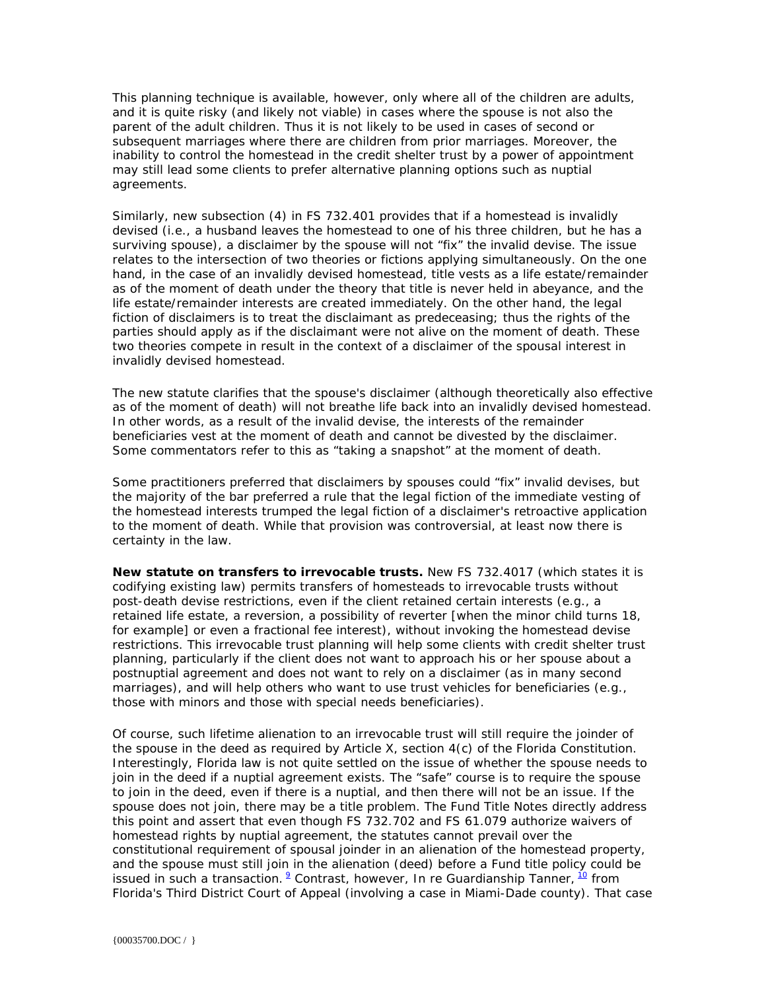This planning technique is available, however, only where all of the children are adults, and it is quite risky (and likely not viable) in cases where the spouse is not also the parent of the adult children. Thus it is not likely to be used in cases of second or subsequent marriages where there are children from prior marriages. Moreover, the inability to control the homestead in the credit shelter trust by a power of appointment may still lead some clients to prefer alternative planning options such as nuptial agreements.

Similarly, new subsection (4) in FS 732.401 provides that if a homestead is invalidly devised (i.e., a husband leaves the homestead to one of his three children, but he has a surviving spouse), a disclaimer by the spouse will not "fix" the invalid devise. The issue relates to the intersection of two theories or fictions applying simultaneously. On the one hand, in the case of an invalidly devised homestead, title vests as a life estate/remainder as of the moment of death under the theory that title is never held in abeyance, and the life estate/remainder interests are created immediately. On the other hand, the legal fiction of disclaimers is to treat the disclaimant as predeceasing; thus the rights of the parties should apply as if the disclaimant were not alive on the moment of death. These two theories compete in result in the context of a disclaimer of the spousal interest in invalidly devised homestead.

The new statute clarifies that the spouse's disclaimer (although theoretically also effective as of the moment of death) will not breathe life back into an invalidly devised homestead. In other words, as a result of the invalid devise, the interests of the remainder beneficiaries vest at the moment of death and cannot be divested by the disclaimer. Some commentators refer to this as "taking a snapshot" at the moment of death.

Some practitioners preferred that disclaimers by spouses could "fix" invalid devises, but the majority of the bar preferred a rule that the legal fiction of the immediate vesting of the homestead interests trumped the legal fiction of a disclaimer's retroactive application to the moment of death. While that provision was controversial, at least now there is certainty in the law.

**New statute on transfers to irrevocable trusts.** New FS 732.4017 (which states it is codifying existing law) permits transfers of homesteads to irrevocable trusts without post-death devise restrictions, even if the client retained certain interests (e.g., a retained life estate, a reversion, a possibility of reverter [when the minor child turns 18, for example] or even a fractional fee interest), without invoking the homestead devise restrictions. This irrevocable trust planning will help some clients with credit shelter trust planning, particularly if the client does not want to approach his or her spouse about a postnuptial agreement and does not want to rely on a disclaimer (as in many second marriages), and will help others who want to use trust vehicles for beneficiaries (e.g., those with minors and those with special needs beneficiaries).

Of course, such lifetime alienation to an irrevocable trust will still require the joinder of the spouse in the deed as required by Article X, section 4(c) of the Florida Constitution. Interestingly, Florida law is not quite settled on the issue of whether the spouse needs to join in the deed if a nuptial agreement exists. The "safe" course is to require the spouse to join in the deed, even if there is a nuptial, and then there will not be an issue. If the spouse does not join, there may be a title problem. The Fund Title Notes directly address this point and assert that even though FS 732.702 and FS 61.079 authorize waivers of homestead rights by nuptial agreement, the statutes cannot prevail over the constitutional requirement of spousal joinder in an alienation of the homestead property, and the spouse must still join in the alienation (deed) before a Fund title policy could be issued in such a transaction. <sup>9</sup> Contrast, however, *In re Guardianship Tanner*, <sup>10</sup> from Florida's Third District Court of Appeal (involving a case in Miami-Dade county). That case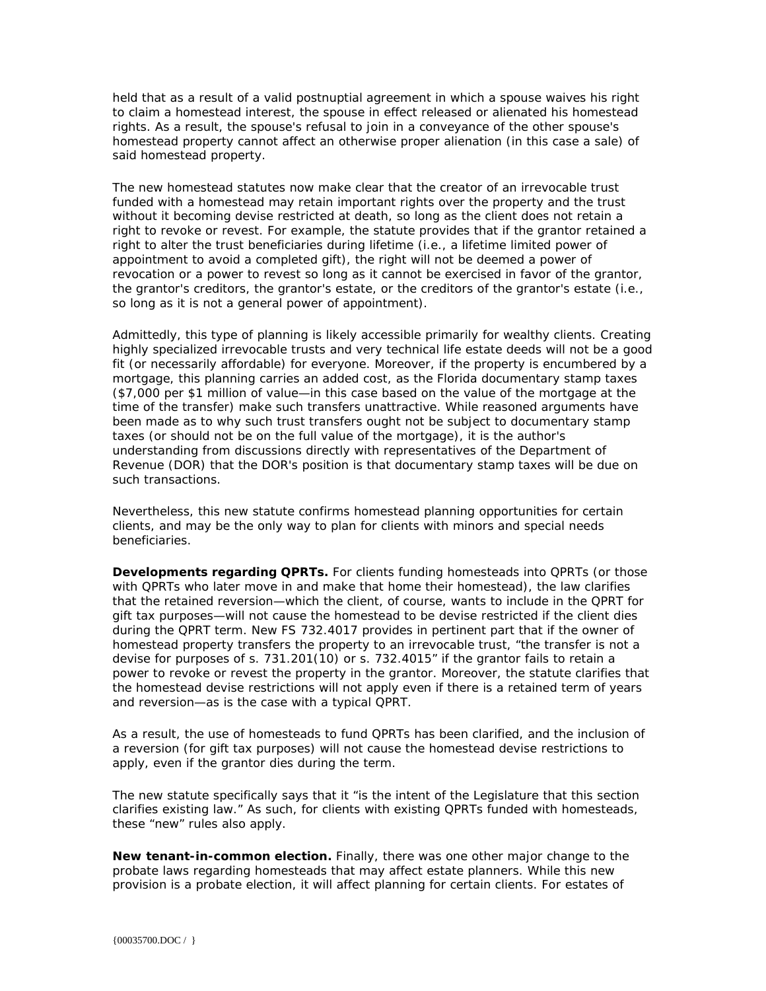held that as a result of a valid postnuptial agreement in which a spouse waives his right to claim a homestead interest, the spouse in effect released or alienated his homestead rights. As a result, the spouse's refusal to join in a conveyance of the other spouse's homestead property cannot affect an otherwise proper alienation (in this case a sale) of said homestead property.

The new homestead statutes now make clear that the creator of an irrevocable trust funded with a homestead may retain important rights over the property and the trust without it becoming devise restricted at death, so long as the client does not retain a right to revoke or revest. For example, the statute provides that if the grantor retained a right to alter the trust beneficiaries during lifetime (i.e., a lifetime limited power of appointment to avoid a completed gift), the right will not be deemed a power of revocation or a power to revest so long as it cannot be exercised in favor of the grantor, the grantor's creditors, the grantor's estate, or the creditors of the grantor's estate (i.e., so long as it is not a general power of appointment).

Admittedly, this type of planning is likely accessible primarily for wealthy clients. Creating highly specialized irrevocable trusts and very technical life estate deeds will not be a good fit (or necessarily affordable) for everyone. Moreover, if the property is encumbered by a mortgage, this planning carries an added cost, as the Florida documentary stamp taxes (\$7,000 per \$1 million of value—in this case based on the value of the mortgage at the time of the transfer) make such transfers unattractive. While reasoned arguments have been made as to why such trust transfers ought not be subject to documentary stamp taxes (or should not be on the full value of the mortgage), it is the author's understanding from discussions directly with representatives of the Department of Revenue (DOR) that the DOR's position is that documentary stamp taxes will be due on such transactions.

Nevertheless, this new statute confirms homestead planning opportunities for certain clients, and may be the only way to plan for clients with minors and special needs beneficiaries.

**Developments regarding QPRTs.** For clients funding homesteads into QPRTs (or those with QPRTs who later move in and make that home their homestead), the law clarifies that the retained reversion—which the client, of course, wants to include in the QPRT for gift tax purposes—will not cause the homestead to be devise restricted if the client dies during the QPRT term. New FS 732.4017 provides in pertinent part that if the owner of homestead property transfers the property to an irrevocable trust, "the transfer is not a devise for purposes of s. 731.201(10) or s. 732.4015" if the grantor fails to retain a power to revoke or revest the property in the grantor. Moreover, the statute clarifies that the homestead devise restrictions will not apply even if there is a retained term of years and reversion—as is the case with a typical QPRT.

As a result, the use of homesteads to fund QPRTs has been clarified, and the inclusion of a reversion (for gift tax purposes) will not cause the homestead devise restrictions to apply, even if the grantor dies during the term.

The new statute specifically says that it "is the intent of the Legislature that this section clarifies existing law." As such, for clients with existing QPRTs funded with homesteads, these "new" rules also apply.

**New tenant-in-common election.** Finally, there was one other major change to the probate laws regarding homesteads that may affect estate planners. While this new provision is a probate election, it will affect planning for certain clients. For estates of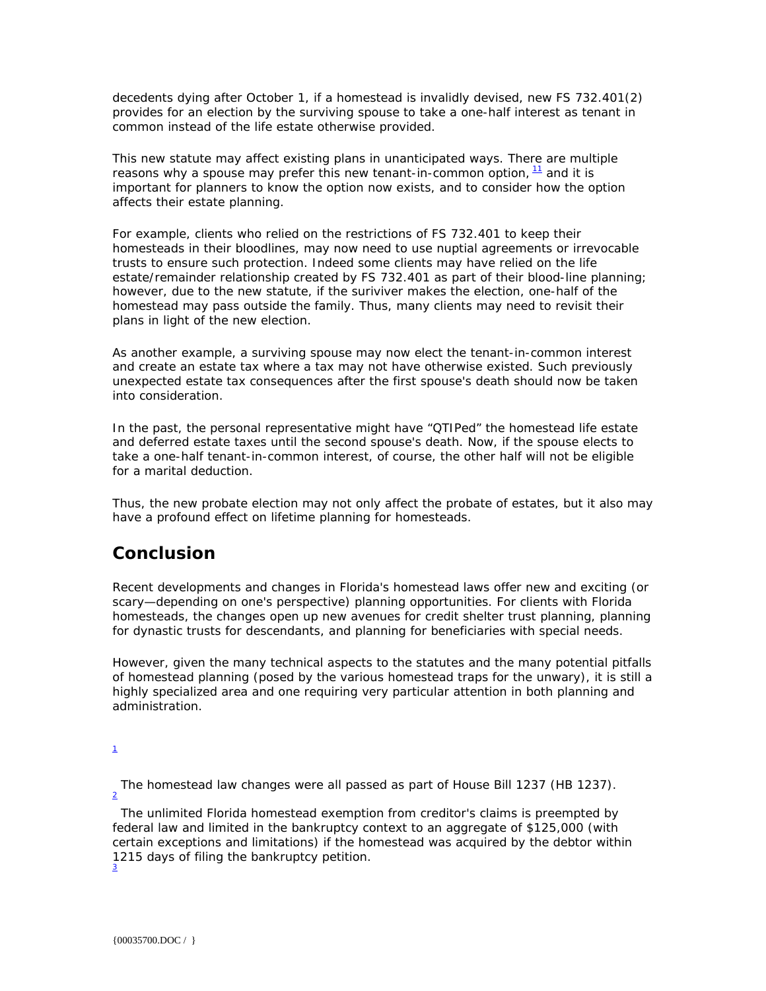decedents dying after October 1, if a homestead is invalidly devised, new FS 732.401(2) provides for an election by the surviving spouse to take a one-half interest as tenant in common instead of the life estate otherwise provided.

This new statute may affect existing plans in unanticipated ways. There are multiple reasons why a spouse may prefer this new tenant-in-common option,  $\frac{11}{1}$  and it is important for planners to know the option now exists, and to consider how the option affects their estate planning.

For example, clients who relied on the restrictions of FS 732.401 to keep their homesteads in their bloodlines, may now need to use nuptial agreements or irrevocable trusts to ensure such protection. Indeed some clients may have relied on the life estate/remainder relationship created by FS 732.401 as part of their blood-line planning; however, due to the new statute, if the suriviver makes the election, one-half of the homestead may pass outside the family. Thus, many clients may need to revisit their plans in light of the new election.

As another example, a surviving spouse may now elect the tenant-in-common interest and create an estate tax where a tax may not have otherwise existed. Such previously unexpected estate tax consequences after the first spouse's death should now be taken into consideration.

In the past, the personal representative might have "QTIPed" the homestead life estate and deferred estate taxes until the second spouse's death. Now, if the spouse elects to take a one-half tenant-in-common interest, of course, the other half will not be eligible for a marital deduction.

Thus, the new probate election may not only affect the probate of estates, but it also may have a profound effect on lifetime planning for homesteads.

## **Conclusion**

Recent developments and changes in Florida's homestead laws offer new and exciting (or scary—depending on one's perspective) planning opportunities. For clients with Florida homesteads, the changes open up new avenues for credit shelter trust planning, planning for dynastic trusts for descendants, and planning for beneficiaries with special needs.

However, given the many technical aspects to the statutes and the many potential pitfalls of homestead planning (posed by the various homestead traps for the unwary), it is still a highly specialized area and one requiring very particular attention in both planning and administration.

1

The homestead law changes were all passed as part of House Bill 1237 (HB 1237).

 The unlimited Florida homestead exemption from creditor's claims is preempted by federal law and limited in the bankruptcy context to an aggregate of \$125,000 (with certain exceptions and limitations) if the homestead was acquired by the debtor within 1215 days of filing the bankruptcy petition. 3